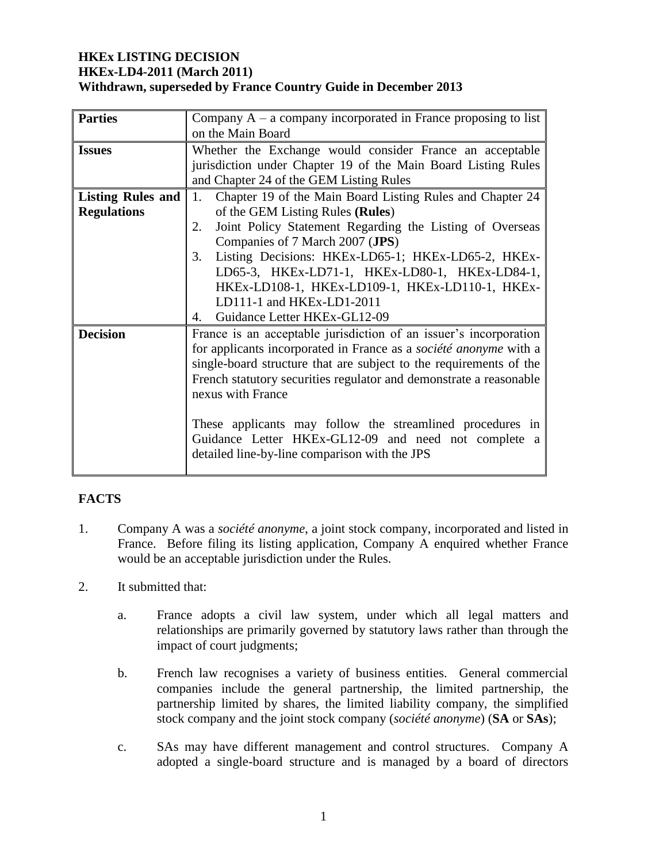### **HKEx LISTING DECISION HKEx-LD4-2011 (March 2011) Withdrawn, superseded by France Country Guide in December 2013**

| <b>Parties</b>           | Company $A - a$ company incorporated in France proposing to list   |
|--------------------------|--------------------------------------------------------------------|
|                          | on the Main Board                                                  |
| <b>Issues</b>            | Whether the Exchange would consider France an acceptable           |
|                          | jurisdiction under Chapter 19 of the Main Board Listing Rules      |
|                          | and Chapter 24 of the GEM Listing Rules                            |
| <b>Listing Rules and</b> | Chapter 19 of the Main Board Listing Rules and Chapter 24<br>1.    |
| <b>Regulations</b>       | of the GEM Listing Rules (Rules)                                   |
|                          | Joint Policy Statement Regarding the Listing of Overseas<br>2.     |
|                          | Companies of 7 March 2007 (JPS)                                    |
|                          | Listing Decisions: HKEx-LD65-1; HKEx-LD65-2, HKEx-<br>3.           |
|                          | LD65-3, HKEx-LD71-1, HKEx-LD80-1, HKEx-LD84-1,                     |
|                          | HKEx-LD108-1, HKEx-LD109-1, HKEx-LD110-1, HKEx-                    |
|                          | LD111-1 and HKEx-LD1-2011                                          |
|                          | Guidance Letter HKEx-GL12-09<br>4.                                 |
| <b>Decision</b>          | France is an acceptable jurisdiction of an issuer's incorporation  |
|                          | for applicants incorporated in France as a société anonyme with a  |
|                          | single-board structure that are subject to the requirements of the |
|                          | French statutory securities regulator and demonstrate a reasonable |
|                          | nexus with France                                                  |
|                          |                                                                    |
|                          | These applicants may follow the streamlined procedures in          |
|                          | Guidance Letter HKEx-GL12-09 and need not complete a               |
|                          | detailed line-by-line comparison with the JPS                      |
|                          |                                                                    |

# **FACTS**

- 1. Company A was a *société anonyme*, a joint stock company, incorporated and listed in France. Before filing its listing application, Company A enquired whether France would be an acceptable jurisdiction under the Rules.
- 2. It submitted that:
	- a. France adopts a civil law system, under which all legal matters and relationships are primarily governed by statutory laws rather than through the impact of court judgments;
	- b. French law recognises a variety of business entities. General commercial companies include the general partnership, the limited partnership, the partnership limited by shares, the limited liability company, the simplified stock company and the joint stock company (*société anonyme*) (**SA** or **SAs**);
	- c. SAs may have different management and control structures. Company A adopted a single-board structure and is managed by a board of directors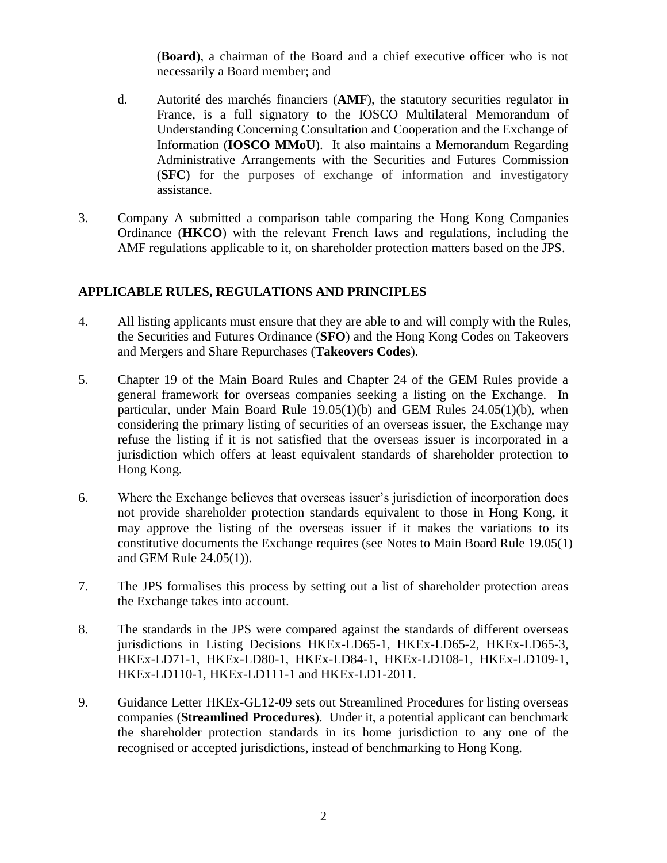(**Board**), a chairman of the Board and a chief executive officer who is not necessarily a Board member; and

- d. Autorité des marchés financiers (**AMF**), the statutory securities regulator in France, is a full signatory to the IOSCO Multilateral Memorandum of Understanding Concerning Consultation and Cooperation and the Exchange of Information (**IOSCO MMoU**). It also maintains a Memorandum Regarding Administrative Arrangements with the Securities and Futures Commission (**SFC**) for the purposes of exchange of information and investigatory assistance.
- 3. Company A submitted a comparison table comparing the Hong Kong Companies Ordinance (**HKCO**) with the relevant French laws and regulations, including the AMF regulations applicable to it, on shareholder protection matters based on the JPS.

## **APPLICABLE RULES, REGULATIONS AND PRINCIPLES**

- 4. All listing applicants must ensure that they are able to and will comply with the Rules, the Securities and Futures Ordinance (**SFO**) and the Hong Kong Codes on Takeovers and Mergers and Share Repurchases (**Takeovers Codes**).
- 5. Chapter 19 of the Main Board Rules and Chapter 24 of the GEM Rules provide a general framework for overseas companies seeking a listing on the Exchange. In particular, under Main Board Rule 19.05(1)(b) and GEM Rules 24.05(1)(b), when considering the primary listing of securities of an overseas issuer, the Exchange may refuse the listing if it is not satisfied that the overseas issuer is incorporated in a jurisdiction which offers at least equivalent standards of shareholder protection to Hong Kong.
- 6. Where the Exchange believes that overseas issuer's jurisdiction of incorporation does not provide shareholder protection standards equivalent to those in Hong Kong, it may approve the listing of the overseas issuer if it makes the variations to its constitutive documents the Exchange requires (see Notes to Main Board Rule 19.05(1) and GEM Rule 24.05(1)).
- 7. The JPS formalises this process by setting out a list of shareholder protection areas the Exchange takes into account.
- 8. The standards in the JPS were compared against the standards of different overseas jurisdictions in Listing Decisions HKEx-LD65-1, HKEx-LD65-2, HKEx-LD65-3, HKEx-LD71-1, HKEx-LD80-1, HKEx-LD84-1, HKEx-LD108-1, HKEx-LD109-1, HKEx-LD110-1, HKEx-LD111-1 and HKEx-LD1-2011.
- 9. Guidance Letter HKEx-GL12-09 sets out Streamlined Procedures for listing overseas companies (**Streamlined Procedures**). Under it, a potential applicant can benchmark the shareholder protection standards in its home jurisdiction to any one of the recognised or accepted jurisdictions, instead of benchmarking to Hong Kong.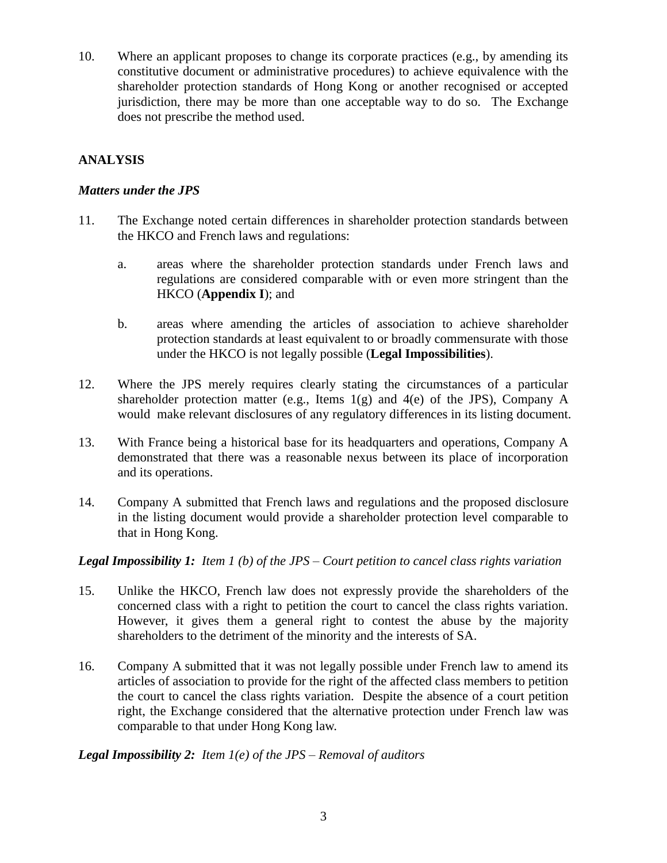10. Where an applicant proposes to change its corporate practices (e.g., by amending its constitutive document or administrative procedures) to achieve equivalence with the shareholder protection standards of Hong Kong or another recognised or accepted jurisdiction, there may be more than one acceptable way to do so. The Exchange does not prescribe the method used.

## **ANALYSIS**

### *Matters under the JPS*

- 11. The Exchange noted certain differences in shareholder protection standards between the HKCO and French laws and regulations:
	- a. areas where the shareholder protection standards under French laws and regulations are considered comparable with or even more stringent than the HKCO (**Appendix I**); and
	- b. areas where amending the articles of association to achieve shareholder protection standards at least equivalent to or broadly commensurate with those under the HKCO is not legally possible (**Legal Impossibilities**).
- 12. Where the JPS merely requires clearly stating the circumstances of a particular shareholder protection matter (e.g., Items  $1(g)$  and  $4(e)$  of the JPS), Company A would make relevant disclosures of any regulatory differences in its listing document.
- 13. With France being a historical base for its headquarters and operations, Company A demonstrated that there was a reasonable nexus between its place of incorporation and its operations.
- 14. Company A submitted that French laws and regulations and the proposed disclosure in the listing document would provide a shareholder protection level comparable to that in Hong Kong.

*Legal Impossibility 1: Item 1 (b) of the JPS – Court petition to cancel class rights variation*

- 15. Unlike the HKCO, French law does not expressly provide the shareholders of the concerned class with a right to petition the court to cancel the class rights variation. However, it gives them a general right to contest the abuse by the majority shareholders to the detriment of the minority and the interests of SA.
- 16. Company A submitted that it was not legally possible under French law to amend its articles of association to provide for the right of the affected class members to petition the court to cancel the class rights variation. Despite the absence of a court petition right, the Exchange considered that the alternative protection under French law was comparable to that under Hong Kong law.

*Legal Impossibility 2: Item 1(e) of the JPS – Removal of auditors*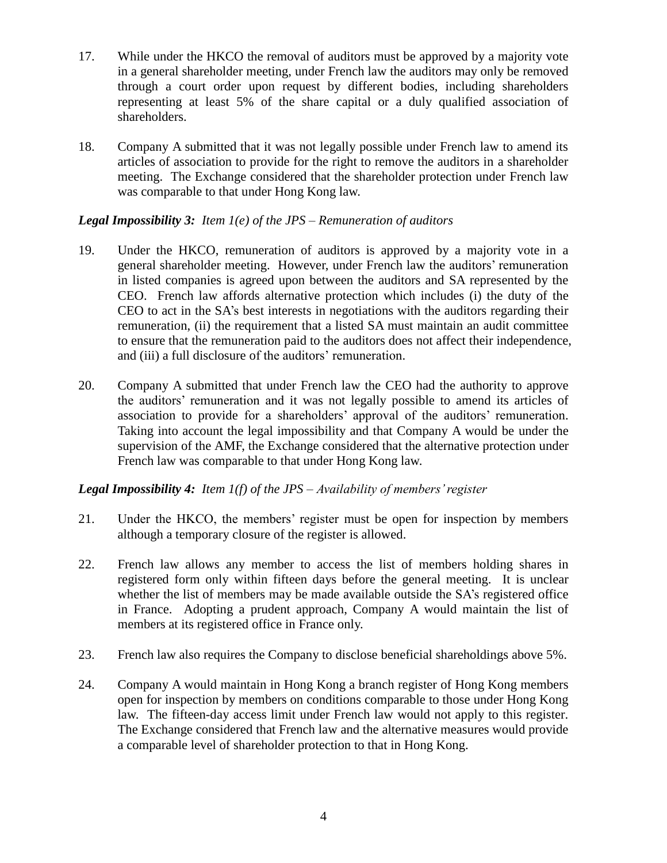- 17. While under the HKCO the removal of auditors must be approved by a majority vote in a general shareholder meeting, under French law the auditors may only be removed through a court order upon request by different bodies, including shareholders representing at least 5% of the share capital or a duly qualified association of shareholders.
- 18. Company A submitted that it was not legally possible under French law to amend its articles of association to provide for the right to remove the auditors in a shareholder meeting. The Exchange considered that the shareholder protection under French law was comparable to that under Hong Kong law.

#### *Legal Impossibility 3: Item 1(e) of the JPS – Remuneration of auditors*

- 19. Under the HKCO, remuneration of auditors is approved by a majority vote in a general shareholder meeting. However, under French law the auditors' remuneration in listed companies is agreed upon between the auditors and SA represented by the CEO. French law affords alternative protection which includes (i) the duty of the CEO to act in the SA's best interests in negotiations with the auditors regarding their remuneration, (ii) the requirement that a listed SA must maintain an audit committee to ensure that the remuneration paid to the auditors does not affect their independence, and (iii) a full disclosure of the auditors' remuneration.
- 20. Company A submitted that under French law the CEO had the authority to approve the auditors' remuneration and it was not legally possible to amend its articles of association to provide for a shareholders' approval of the auditors' remuneration. Taking into account the legal impossibility and that Company A would be under the supervision of the AMF, the Exchange considered that the alternative protection under French law was comparable to that under Hong Kong law.

## *Legal Impossibility 4: Item 1(f) of the JPS – Availability of members' register*

- 21. Under the HKCO, the members' register must be open for inspection by members although a temporary closure of the register is allowed.
- 22. French law allows any member to access the list of members holding shares in registered form only within fifteen days before the general meeting. It is unclear whether the list of members may be made available outside the SA's registered office in France. Adopting a prudent approach, Company A would maintain the list of members at its registered office in France only.
- 23. French law also requires the Company to disclose beneficial shareholdings above 5%.
- 24. Company A would maintain in Hong Kong a branch register of Hong Kong members open for inspection by members on conditions comparable to those under Hong Kong law. The fifteen-day access limit under French law would not apply to this register. The Exchange considered that French law and the alternative measures would provide a comparable level of shareholder protection to that in Hong Kong.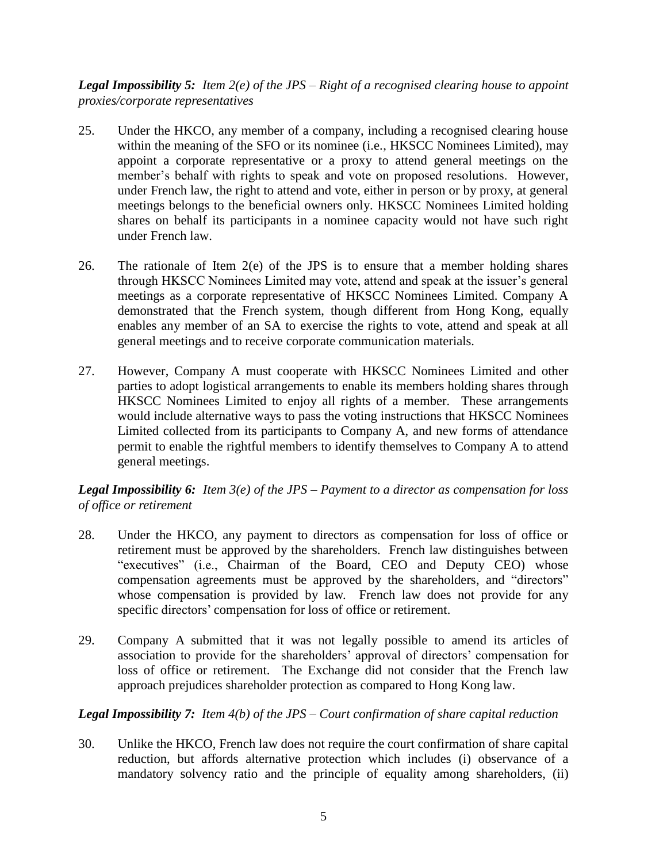*Legal Impossibility 5: Item 2(e) of the JPS – Right of a recognised clearing house to appoint proxies/corporate representatives*

- 25. Under the HKCO, any member of a company, including a recognised clearing house within the meaning of the SFO or its nominee (i.e., HKSCC Nominees Limited), may appoint a corporate representative or a proxy to attend general meetings on the member's behalf with rights to speak and vote on proposed resolutions. However, under French law, the right to attend and vote, either in person or by proxy, at general meetings belongs to the beneficial owners only. HKSCC Nominees Limited holding shares on behalf its participants in a nominee capacity would not have such right under French law.
- 26. The rationale of Item 2(e) of the JPS is to ensure that a member holding shares through HKSCC Nominees Limited may vote, attend and speak at the issuer's general meetings as a corporate representative of HKSCC Nominees Limited. Company A demonstrated that the French system, though different from Hong Kong, equally enables any member of an SA to exercise the rights to vote, attend and speak at all general meetings and to receive corporate communication materials.
- 27. However, Company A must cooperate with HKSCC Nominees Limited and other parties to adopt logistical arrangements to enable its members holding shares through HKSCC Nominees Limited to enjoy all rights of a member. These arrangements would include alternative ways to pass the voting instructions that HKSCC Nominees Limited collected from its participants to Company A, and new forms of attendance permit to enable the rightful members to identify themselves to Company A to attend general meetings.

## *Legal Impossibility 6: Item 3(e) of the JPS – Payment to a director as compensation for loss of office or retirement*

- 28. Under the HKCO, any payment to directors as compensation for loss of office or retirement must be approved by the shareholders. French law distinguishes between "executives" (i.e., Chairman of the Board, CEO and Deputy CEO) whose compensation agreements must be approved by the shareholders, and "directors" whose compensation is provided by law. French law does not provide for any specific directors' compensation for loss of office or retirement.
- 29. Company A submitted that it was not legally possible to amend its articles of association to provide for the shareholders' approval of directors' compensation for loss of office or retirement. The Exchange did not consider that the French law approach prejudices shareholder protection as compared to Hong Kong law.

# *Legal Impossibility 7: Item 4(b) of the JPS – Court confirmation of share capital reduction*

30. Unlike the HKCO, French law does not require the court confirmation of share capital reduction, but affords alternative protection which includes (i) observance of a mandatory solvency ratio and the principle of equality among shareholders, (ii)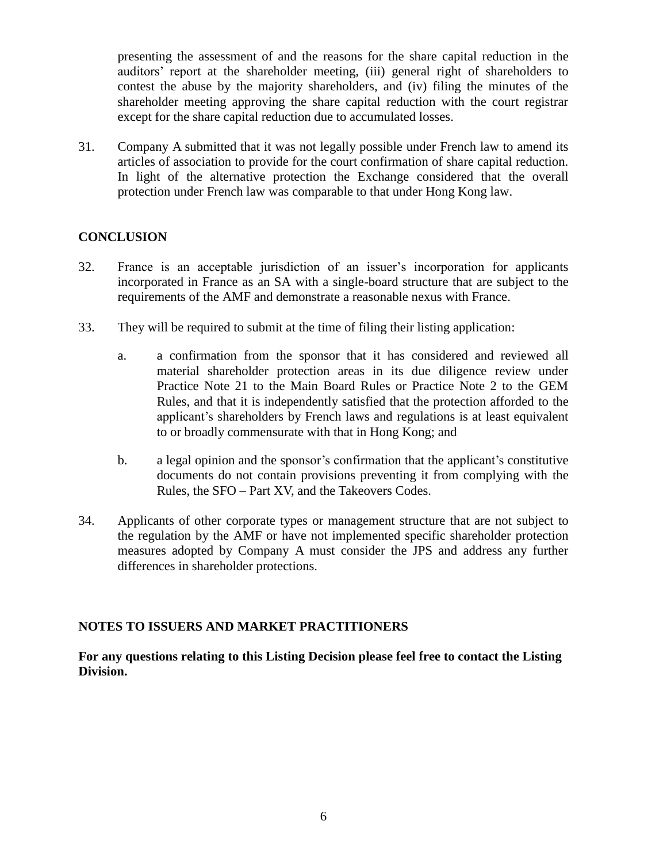presenting the assessment of and the reasons for the share capital reduction in the auditors' report at the shareholder meeting, (iii) general right of shareholders to contest the abuse by the majority shareholders, and (iv) filing the minutes of the shareholder meeting approving the share capital reduction with the court registrar except for the share capital reduction due to accumulated losses.

31. Company A submitted that it was not legally possible under French law to amend its articles of association to provide for the court confirmation of share capital reduction. In light of the alternative protection the Exchange considered that the overall protection under French law was comparable to that under Hong Kong law.

### **CONCLUSION**

- 32. France is an acceptable jurisdiction of an issuer's incorporation for applicants incorporated in France as an SA with a single-board structure that are subject to the requirements of the AMF and demonstrate a reasonable nexus with France.
- 33. They will be required to submit at the time of filing their listing application:
	- a. a confirmation from the sponsor that it has considered and reviewed all material shareholder protection areas in its due diligence review under Practice Note 21 to the Main Board Rules or Practice Note 2 to the GEM Rules, and that it is independently satisfied that the protection afforded to the applicant's shareholders by French laws and regulations is at least equivalent to or broadly commensurate with that in Hong Kong; and
	- b. a legal opinion and the sponsor's confirmation that the applicant's constitutive documents do not contain provisions preventing it from complying with the Rules, the SFO – Part XV, and the Takeovers Codes.
- 34. Applicants of other corporate types or management structure that are not subject to the regulation by the AMF or have not implemented specific shareholder protection measures adopted by Company A must consider the JPS and address any further differences in shareholder protections.

## **NOTES TO ISSUERS AND MARKET PRACTITIONERS**

### **For any questions relating to this Listing Decision please feel free to contact the Listing Division.**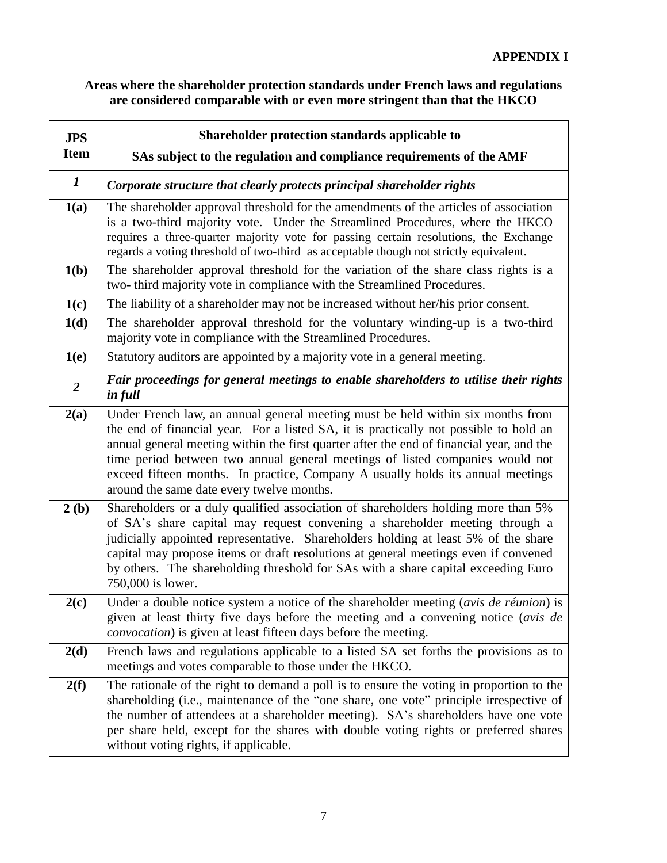# **Areas where the shareholder protection standards under French laws and regulations are considered comparable with or even more stringent than that the HKCO**

| <b>JPS</b>       | Shareholder protection standards applicable to                                                                                                                                                                                                                                                                                                                                                                                                                                        |
|------------------|---------------------------------------------------------------------------------------------------------------------------------------------------------------------------------------------------------------------------------------------------------------------------------------------------------------------------------------------------------------------------------------------------------------------------------------------------------------------------------------|
| <b>Item</b>      | SAs subject to the regulation and compliance requirements of the AMF                                                                                                                                                                                                                                                                                                                                                                                                                  |
| $\bm{l}$         | Corporate structure that clearly protects principal shareholder rights                                                                                                                                                                                                                                                                                                                                                                                                                |
| 1(a)             | The shareholder approval threshold for the amendments of the articles of association<br>is a two-third majority vote. Under the Streamlined Procedures, where the HKCO<br>requires a three-quarter majority vote for passing certain resolutions, the Exchange<br>regards a voting threshold of two-third as acceptable though not strictly equivalent.                                                                                                                               |
| 1(b)             | The shareholder approval threshold for the variation of the share class rights is a<br>two- third majority vote in compliance with the Streamlined Procedures.                                                                                                                                                                                                                                                                                                                        |
| 1(c)             | The liability of a shareholder may not be increased without her/his prior consent.                                                                                                                                                                                                                                                                                                                                                                                                    |
| 1(d)             | The shareholder approval threshold for the voluntary winding-up is a two-third<br>majority vote in compliance with the Streamlined Procedures.                                                                                                                                                                                                                                                                                                                                        |
| 1(e)             | Statutory auditors are appointed by a majority vote in a general meeting.                                                                                                                                                                                                                                                                                                                                                                                                             |
| $\boldsymbol{2}$ | Fair proceedings for general meetings to enable shareholders to utilise their rights<br>in full                                                                                                                                                                                                                                                                                                                                                                                       |
| 2(a)             | Under French law, an annual general meeting must be held within six months from<br>the end of financial year. For a listed SA, it is practically not possible to hold an<br>annual general meeting within the first quarter after the end of financial year, and the<br>time period between two annual general meetings of listed companies would not<br>exceed fifteen months. In practice, Company A usually holds its annual meetings<br>around the same date every twelve months. |
| 2(b)             | Shareholders or a duly qualified association of shareholders holding more than 5%<br>of SA's share capital may request convening a shareholder meeting through a<br>judicially appointed representative. Shareholders holding at least 5% of the share<br>capital may propose items or draft resolutions at general meetings even if convened<br>by others. The shareholding threshold for SAs with a share capital exceeding Euro<br>750,000 is lower.                               |
| 2(c)             | Under a double notice system a notice of the shareholder meeting (avis de réunion) is<br>given at least thirty five days before the meeting and a convening notice (avis de<br><i>convocation</i> ) is given at least fifteen days before the meeting.                                                                                                                                                                                                                                |
| 2(d)             | French laws and regulations applicable to a listed SA set forths the provisions as to<br>meetings and votes comparable to those under the HKCO.                                                                                                                                                                                                                                                                                                                                       |
| 2(f)             | The rationale of the right to demand a poll is to ensure the voting in proportion to the<br>shareholding (i.e., maintenance of the "one share, one vote" principle irrespective of<br>the number of attendees at a shareholder meeting). SA's shareholders have one vote<br>per share held, except for the shares with double voting rights or preferred shares<br>without voting rights, if applicable.                                                                              |